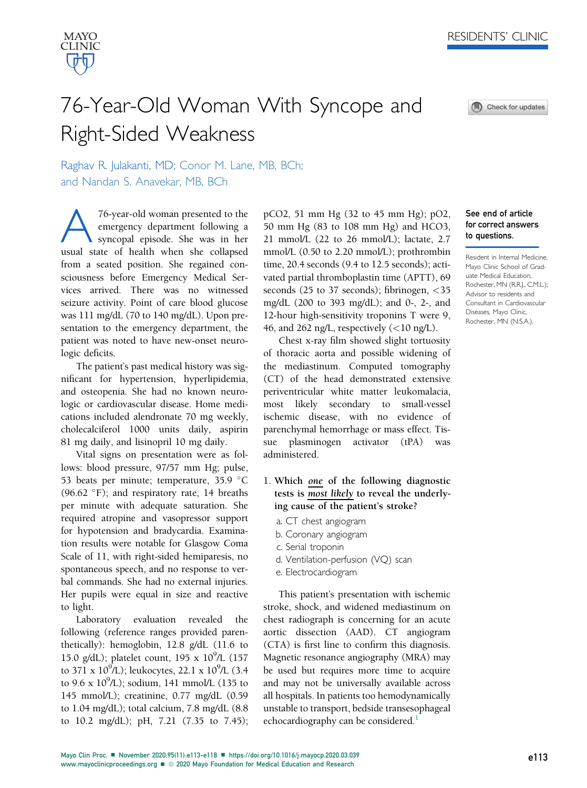



See end of article for correct answers to questions.

Resident in Internal Medicine, Mayo Clinic School of Graduate Medical Education, Rochester, MN (R.R.J., C.M.L.); Advisor to residents and Consultant in Cardiovascular Diseases, Mayo Clinic, Rochester, MN (N.S.A.).

# 76-Year-Old Woman With Syncope and Right-Sided Weakness

Raghav R. Julakanti, MD; Conor M. Lane, MB, BCh; and Nandan S. Anavekar, MB, BCh

T6-year-old woman presented to the<br>emergency department following a<br>syncopal episode. She was in her<br>usual state of health when she collansed emergency department following a syncopal episode. She was in her usual state of health when she collapsed from a seated position. She regained consciousness before Emergency Medical Services arrived. There was no witnessed seizure activity. Point of care blood glucose was 111 mg/dL (70 to 140 mg/dL). Upon presentation to the emergency department, the patient was noted to have new-onset neurologic deficits.

The patient's past medical history was significant for hypertension, hyperlipidemia, and osteopenia. She had no known neurologic or cardiovascular disease. Home medications included alendronate 70 mg weekly, cholecalciferol 1000 units daily, aspirin 81 mg daily, and lisinopril 10 mg daily.

Vital signs on presentation were as follows: blood pressure, 97/57 mm Hg; pulse, 53 beats per minute; temperature, 35.9 °C  $(96.62 \text{ °F})$ ; and respiratory rate, 14 breaths per minute with adequate saturation. She required atropine and vasopressor support for hypotension and bradycardia. Examination results were notable for Glasgow Coma Scale of 11, with right-sided hemiparesis, no spontaneous speech, and no response to verbal commands. She had no external injuries. Her pupils were equal in size and reactive to light.

Laboratory evaluation revealed the following (reference ranges provided parenthetically): hemoglobin, 12.8 g/dL (11.6 to 15.0 g/dL); platelet count, 195 x 10<sup>9</sup>/L (157 to 371 x  $10^9$ /L); leukocytes, 22.1 x  $10^9$ /L (3.4 to  $9.6 \times 10^9$ /L); sodium, 141 mmol/L (135 to 145 mmol/L); creatinine, 0.77 mg/dL (0.59 to 1.04 mg/dL); total calcium, 7.8 mg/dL (8.8 to 10.2 mg/dL); pH, 7.21 (7.35 to 7.45);

pCO2, 51 mm Hg (32 to 45 mm Hg); pO2, 50 mm Hg (83 to 108 mm Hg) and HCO3, 21 mmol/L (22 to 26 mmol/L); lactate, 2.7 mmol/L (0.50 to 2.20 mmol/L); prothrombin time, 20.4 seconds (9.4 to 12.5 seconds); activated partial thromboplastin time (APTT), 69 seconds (25 to 37 seconds); fibrinogen,  $\langle 35 \rangle$ mg/dL (200 to 393 mg/dL); and 0-, 2-, and 12-hour high-sensitivity troponins T were 9, 46, and 262 ng/L, respectively  $(<10 \text{ ng/L})$ .

Chest x-ray film showed slight tortuosity of thoracic aorta and possible widening of the mediastinum. Computed tomography (CT) of the head demonstrated extensive periventricular white matter leukomalacia, most likely secondary to small-vessel ischemic disease, with no evidence of parenchymal hemorrhage or mass effect. Tissue plasminogen activator (tPA) was administered.

- 1. Which one of the following diagnostic tests is most likely to reveal the underlying cause of the patient's stroke?
	- a. CT chest angiogram
	- b. Coronary angiogram
	- c. Serial troponin
	- d. Ventilation-perfusion (VQ) scan
	- e. Electrocardiogram

This patient's presentation with ischemic stroke, shock, and widened mediastinum on chest radiograph is concerning for an acute aortic dissection (AAD). CT angiogram (CTA) is first line to confirm this diagnosis. Magnetic resonance angiography (MRA) may be used but requires more time to acquire and may not be universally available across all hospitals. In patients too hemodynamically unstable to transport, bedside transesophageal echocardiography can be considered.<sup>1</sup>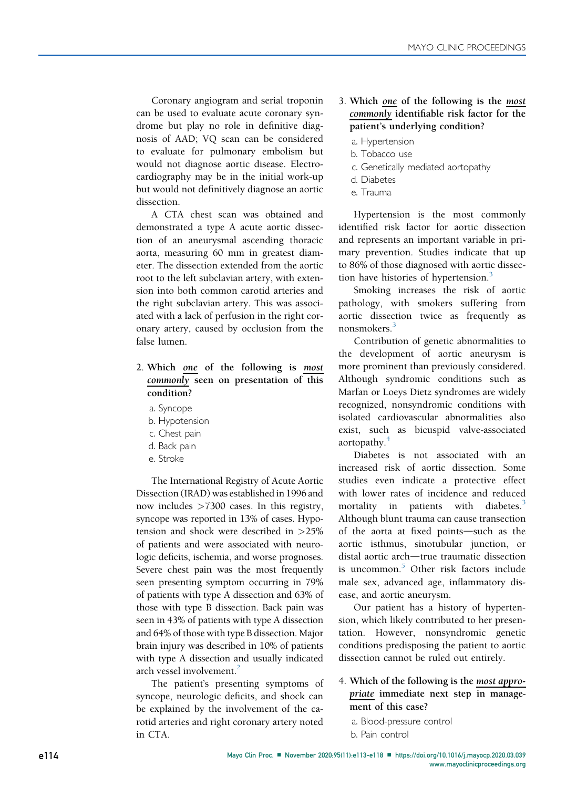Coronary angiogram and serial troponin can be used to evaluate acute coronary syndrome but play no role in definitive diagnosis of AAD; VQ scan can be considered to evaluate for pulmonary embolism but would not diagnose aortic disease. Electrocardiography may be in the initial work-up but would not definitively diagnose an aortic dissection.

A CTA chest scan was obtained and demonstrated a type A acute aortic dissection of an aneurysmal ascending thoracic aorta, measuring 60 mm in greatest diameter. The dissection extended from the aortic root to the left subclavian artery, with extension into both common carotid arteries and the right subclavian artery. This was associated with a lack of perfusion in the right coronary artery, caused by occlusion from the false lumen.

## 2. Which one of the following is most commonly seen on presentation of this condition?

- a. Syncope
- b. Hypotension
- c. Chest pain
- d. Back pain
- e. Stroke

The International Registry of Acute Aortic Dissection (IRAD) was established in 1996 and now includes >7300 cases. In this registry, syncope was reported in 13% of cases. Hypotension and shock were described in >25% of patients and were associated with neurologic deficits, ischemia, and worse prognoses. Severe chest pain was the most frequently seen presenting symptom occurring in 79% of patients with type A dissection and 63% of those with type B dissection. Back pain was seen in 43% of patients with type A dissection and 64% of those with type B dissection. Major brain injury was described in 10% of patients with type A dissection and usually indicated arch vessel involvement.<sup>2</sup>

The patient's presenting symptoms of syncope, neurologic deficits, and shock can be explained by the involvement of the carotid arteries and right coronary artery noted in CTA.

## 3. Which one of the following is the most commonly identifiable risk factor for the patient's underlying condition?

- a. Hypertension
- b. Tobacco use
- c. Genetically mediated aortopathy
- d. Diabetes
- e. Trauma

Hypertension is the most commonly identified risk factor for aortic dissection and represents an important variable in primary prevention. Studies indicate that up to 86% of those diagnosed with aortic dissec-tion have histories of hypertension.<sup>[3](#page-4-2)</sup>

Smoking increases the risk of aortic pathology, with smokers suffering from aortic dissection twice as frequently as nonsmokers.<sup>[3](#page-4-2)</sup>

Contribution of genetic abnormalities to the development of aortic aneurysm is more prominent than previously considered. Although syndromic conditions such as Marfan or Loeys Dietz syndromes are widely recognized, nonsyndromic conditions with isolated cardiovascular abnormalities also exist, such as bicuspid valve-associated aortopathy.<sup>[4](#page-4-3)</sup>

Diabetes is not associated with an increased risk of aortic dissection. Some studies even indicate a protective effect with lower rates of incidence and reduced mortality in patients with diabetes. $3$ Although blunt trauma can cause transection of the aorta at fixed points-such as the aortic isthmus, sinotubular junction, or distal aortic arch-true traumatic dissection is uncommon.<sup>[5](#page-4-4)</sup> Other risk factors include male sex, advanced age, inflammatory disease, and aortic aneurysm.

Our patient has a history of hypertension, which likely contributed to her presentation. However, nonsyndromic genetic conditions predisposing the patient to aortic dissection cannot be ruled out entirely.

## 4. Which of the following is the most appropriate immediate next step in management of this case?

a. Blood-pressure control b. Pain control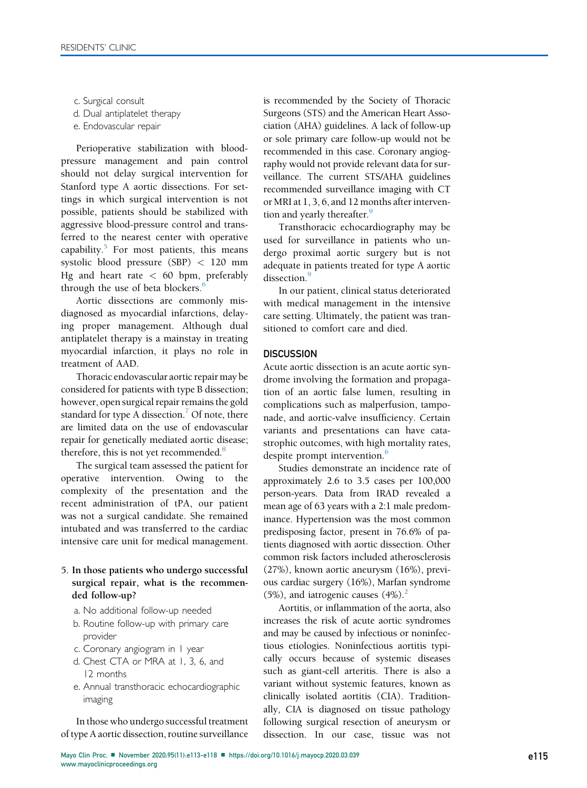c. Surgical consult

d. Dual antiplatelet therapy

e. Endovascular repair

Perioperative stabilization with bloodpressure management and pain control should not delay surgical intervention for Stanford type A aortic dissections. For settings in which surgical intervention is not possible, patients should be stabilized with aggressive blood-pressure control and transferred to the nearest center with operative capability. $5$  For most patients, this means systolic blood pressure (SBP) < 120 mm Hg and heart rate  $< 60$  bpm, preferably through the use of beta blockers.<sup>[6](#page-4-5)</sup>

Aortic dissections are commonly misdiagnosed as myocardial infarctions, delaying proper management. Although dual antiplatelet therapy is a mainstay in treating myocardial infarction, it plays no role in treatment of AAD.

Thoracic endovascular aortic repair may be considered for patients with type B dissection; however, open surgical repair remains the gold standard for type A dissection.<sup>[7](#page-4-6)</sup> Of note, there are limited data on the use of endovascular repair for genetically mediated aortic disease; therefore, this is not yet recommended.<sup>8</sup>

The surgical team assessed the patient for operative intervention. Owing to the complexity of the presentation and the recent administration of tPA, our patient was not a surgical candidate. She remained intubated and was transferred to the cardiac intensive care unit for medical management.

## 5. In those patients who undergo successful surgical repair, what is the recommended follow-up?

- a. No additional follow-up needed
- b. Routine follow-up with primary care provider
- c. Coronary angiogram in 1 year
- d. Chest CTA or MRA at 1, 3, 6, and 12 months
- e. Annual transthoracic echocardiographic imaging

In those who undergo successful treatment of type A aortic dissection, routine surveillance

is recommended by the Society of Thoracic Surgeons (STS) and the American Heart Association (AHA) guidelines. A lack of follow-up or sole primary care follow-up would not be recommended in this case. Coronary angiography would not provide relevant data for surveillance. The current STS/AHA guidelines recommended surveillance imaging with CT or MRI at 1, 3, 6, and 12 months after intervention and yearly thereafter.<sup>9</sup>

Transthoracic echocardiography may be used for surveillance in patients who undergo proximal aortic surgery but is not adequate in patients treated for type A aortic dissection.<sup>[9](#page-4-8)</sup>

In our patient, clinical status deteriorated with medical management in the intensive care setting. Ultimately, the patient was transitioned to comfort care and died.

#### **DISCUSSION**

Acute aortic dissection is an acute aortic syndrome involving the formation and propagation of an aortic false lumen, resulting in complications such as malperfusion, tamponade, and aortic-valve insufficiency. Certain variants and presentations can have catastrophic outcomes, with high mortality rates, despite prompt intervention.<sup>[6](#page-4-5)</sup>

Studies demonstrate an incidence rate of approximately 2.6 to 3.5 cases per 100,000 person-years. Data from IRAD revealed a mean age of 63 years with a 2:1 male predominance. Hypertension was the most common predisposing factor, present in 76.6% of patients diagnosed with aortic dissection. Other common risk factors included atherosclerosis (27%), known aortic aneurysm (16%), previous cardiac surgery (16%), Marfan syndrome (5%), and iatrogenic causes  $(4%)$ .<sup>[2](#page-4-1)</sup>

Aortitis, or inflammation of the aorta, also increases the risk of acute aortic syndromes and may be caused by infectious or noninfectious etiologies. Noninfectious aortitis typically occurs because of systemic diseases such as giant-cell arteritis. There is also a variant without systemic features, known as clinically isolated aortitis (CIA). Traditionally, CIA is diagnosed on tissue pathology following surgical resection of aneurysm or dissection. In our case, tissue was not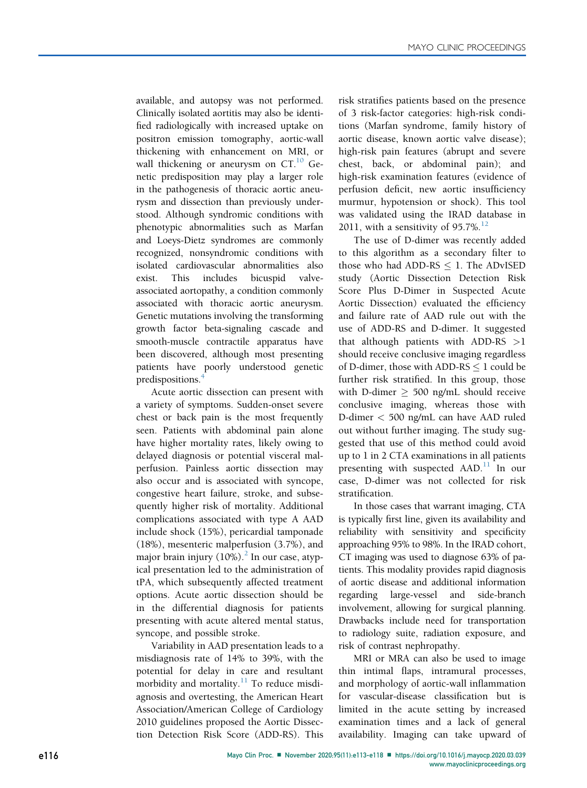available, and autopsy was not performed. Clinically isolated aortitis may also be identified radiologically with increased uptake on positron emission tomography, aortic-wall thickening with enhancement on MRI, or wall thickening or aneurysm on CT.<sup>[10](#page-5-0)</sup> Genetic predisposition may play a larger role in the pathogenesis of thoracic aortic aneurysm and dissection than previously understood. Although syndromic conditions with phenotypic abnormalities such as Marfan and Loeys-Dietz syndromes are commonly recognized, nonsyndromic conditions with isolated cardiovascular abnormalities also exist. This includes bicuspid valveassociated aortopathy, a condition commonly associated with thoracic aortic aneurysm. Genetic mutations involving the transforming growth factor beta-signaling cascade and smooth-muscle contractile apparatus have been discovered, although most presenting patients have poorly understood genetic predispositions[.4](#page-4-3)

Acute aortic dissection can present with a variety of symptoms. Sudden-onset severe chest or back pain is the most frequently seen. Patients with abdominal pain alone have higher mortality rates, likely owing to delayed diagnosis or potential visceral malperfusion. Painless aortic dissection may also occur and is associated with syncope, congestive heart failure, stroke, and subsequently higher risk of mortality. Additional complications associated with type A AAD include shock (15%), pericardial tamponade (18%), mesenteric malperfusion (3.7%), and major brain injury  $(10\%)$ .<sup>[2](#page-4-1)</sup> In our case, atypical presentation led to the administration of tPA, which subsequently affected treatment options. Acute aortic dissection should be in the differential diagnosis for patients presenting with acute altered mental status, syncope, and possible stroke.

Variability in AAD presentation leads to a misdiagnosis rate of 14% to 39%, with the potential for delay in care and resultant morbidity and mortality. $11$  To reduce misdiagnosis and overtesting, the American Heart Association/American College of Cardiology 2010 guidelines proposed the Aortic Dissection Detection Risk Score (ADD-RS). This risk stratifies patients based on the presence of 3 risk-factor categories: high-risk conditions (Marfan syndrome, family history of aortic disease, known aortic valve disease); high-risk pain features (abrupt and severe chest, back, or abdominal pain); and high-risk examination features (evidence of perfusion deficit, new aortic insufficiency murmur, hypotension or shock). This tool was validated using the IRAD database in 2011, with a sensitivity of 95.7%.<sup>[12](#page-5-2)</sup>

The use of D-dimer was recently added to this algorithm as a secondary filter to those who had ADD-RS  $\leq$  1. The ADvISED study (Aortic Dissection Detection Risk Score Plus D-Dimer in Suspected Acute Aortic Dissection) evaluated the efficiency and failure rate of AAD rule out with the use of ADD-RS and D-dimer. It suggested that although patients with ADD-RS  $>1$ should receive conclusive imaging regardless of D-dimer, those with ADD-RS  $\leq 1$  could be further risk stratified. In this group, those with D-dimer  $\geq$  500 ng/mL should receive conclusive imaging, whereas those with D-dimer < 500 ng/mL can have AAD ruled out without further imaging. The study suggested that use of this method could avoid up to 1 in 2 CTA examinations in all patients presenting with suspected AAD.<sup>[11](#page-5-1)</sup> In our case, D-dimer was not collected for risk stratification.

In those cases that warrant imaging, CTA is typically first line, given its availability and reliability with sensitivity and specificity approaching 95% to 98%. In the IRAD cohort, CT imaging was used to diagnose 63% of patients. This modality provides rapid diagnosis of aortic disease and additional information regarding large-vessel and side-branch involvement, allowing for surgical planning. Drawbacks include need for transportation to radiology suite, radiation exposure, and risk of contrast nephropathy.

MRI or MRA can also be used to image thin intimal flaps, intramural processes, and morphology of aortic-wall inflammation for vascular-disease classification but is limited in the acute setting by increased examination times and a lack of general availability. Imaging can take upward of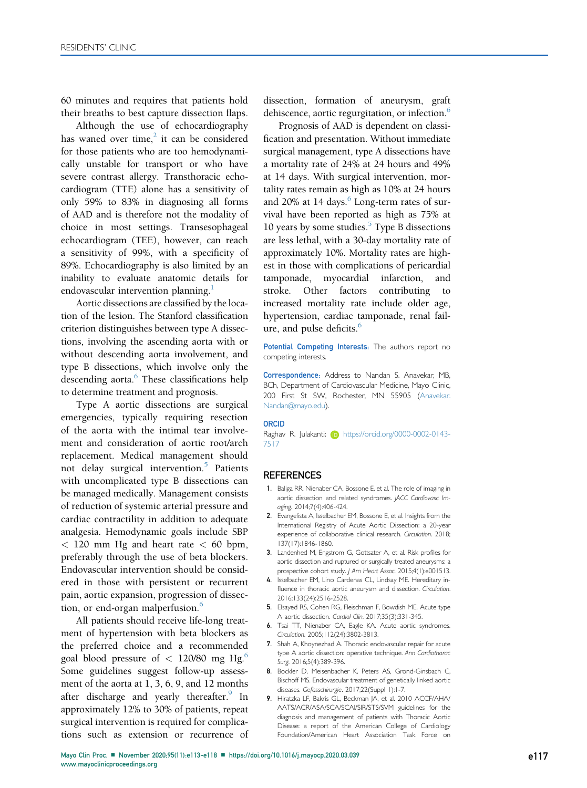60 minutes and requires that patients hold their breaths to best capture dissection flaps.

Although the use of echocardiography has waned over time,<sup>2</sup> it can be considered for those patients who are too hemodynamically unstable for transport or who have severe contrast allergy. Transthoracic echocardiogram (TTE) alone has a sensitivity of only 59% to 83% in diagnosing all forms of AAD and is therefore not the modality of choice in most settings. Transesophageal echocardiogram (TEE), however, can reach a sensitivity of 99%, with a specificity of 89%. Echocardiography is also limited by an inability to evaluate anatomic details for endovascular intervention planning.<sup>[1](#page-4-0)</sup>

Aortic dissections are classified by the location of the lesion. The Stanford classification criterion distinguishes between type A dissections, involving the ascending aorta with or without descending aorta involvement, and type B dissections, which involve only the descending aorta.<sup>6</sup> These classifications help to determine treatment and prognosis.

Type A aortic dissections are surgical emergencies, typically requiring resection of the aorta with the intimal tear involvement and consideration of aortic root/arch replacement. Medical management should not delay surgical intervention.<sup>[5](#page-4-4)</sup> Patients with uncomplicated type B dissections can be managed medically. Management consists of reduction of systemic arterial pressure and cardiac contractility in addition to adequate analgesia. Hemodynamic goals include SBP  $<$  120 mm Hg and heart rate  $<$  60 bpm, preferably through the use of beta blockers. Endovascular intervention should be considered in those with persistent or recurrent pain, aortic expansion, progression of dissec-tion, or end-organ malperfusion.<sup>[6](#page-4-5)</sup>

All patients should receive life-long treatment of hypertension with beta blockers as the preferred choice and a recommended goal blood pressure of  $< 120/80$  mg Hg.<sup>[6](#page-4-5)</sup> Some guidelines suggest follow-up assessment of the aorta at 1, 3, 6, 9, and 12 months after discharge and yearly thereafter. In approximately 12% to 30% of patients, repeat surgical intervention is required for complications such as extension or recurrence of dissection, formation of aneurysm, graft dehiscence, aortic regurgitation, or infection.<sup>[6](#page-4-5)</sup>

Prognosis of AAD is dependent on classification and presentation. Without immediate surgical management, type A dissections have a mortality rate of 24% at 24 hours and 49% at 14 days. With surgical intervention, mortality rates remain as high as 10% at 24 hours and 20% at 14 days. $6 \text{ Long-term rates of sur-}$ vival have been reported as high as 75% at 10 years by some studies. $5$  Type B dissections are less lethal, with a 30-day mortality rate of approximately 10%. Mortality rates are highest in those with complications of pericardial tamponade, myocardial infarction, and stroke. Other factors contributing to increased mortality rate include older age, hypertension, cardiac tamponade, renal failure, and pulse deficits.<sup>6</sup>

Potential Competing Interests: The authors report no competing interests.

Correspondence: Address to Nandan S. Anavekar, MB, BCh, Department of Cardiovascular Medicine, Mayo Clinic, 200 First St SW, Rochester, MN 55905 [\(Anavekar.](mailto:Anavekar.Nandan@mayo.edu) [Nandan@mayo.edu](mailto:Anavekar.Nandan@mayo.edu)).

#### **ORCID**

Raghav R. Julakanti: **[https://orcid.org/0000-0002-0143-](https://orcid.org/0000-0002-0143-7517)** [7517](https://orcid.org/0000-0002-0143-7517)

#### **REFERENCES**

- <span id="page-4-0"></span>1. Baliga RR, Nienaber CA, Bossone E, et al. The role of imaging in aortic dissection and related syndromes. JACC Cardiovasc Imaging. 2014;7(4):406-424.
- <span id="page-4-1"></span>2. Evangelista A, Isselbacher EM, Bossone E, et al. Insights from the International Registry of Acute Aortic Dissection: a 20-year experience of collaborative clinical research. Circulation. 2018; 137(17):1846-1860.
- <span id="page-4-2"></span>3. Landenhed M, Engstrom G, Gottsater A, et al. Risk profiles for aortic dissection and ruptured or surgically treated aneurysms: a prospective cohort study. J Am Heart Assoc. 2015;4(1):e001513.
- <span id="page-4-3"></span>4. Isselbacher EM, Lino Cardenas CL, Lindsay ME. Hereditary influence in thoracic aortic aneurysm and dissection. Circulation. 2016;133(24):2516-2528.
- <span id="page-4-4"></span>5. Elsayed RS, Cohen RG, Fleischman F, Bowdish ME. Acute type A aortic dissection. Cardiol Clin. 2017;35(3):331-345.
- <span id="page-4-5"></span>6. Tsai TT, Nienaber CA, Eagle KA. Acute aortic syndromes. Circulation. 2005;112(24):3802-3813.
- <span id="page-4-6"></span>7. Shah A, Khoynezhad A. Thoracic endovascular repair for acute type A aortic dissection: operative technique. Ann Cardiothorac Surg. 2016;5(4):389-396.
- <span id="page-4-7"></span>8. Bockler D, Meisenbacher K, Peters AS, Grond-Ginsbach C, Bischoff MS. Endovascular treatment of genetically linked aortic diseases. Gefasschirurgie. 2017;22(Suppl 1):1-7.
- <span id="page-4-8"></span>9. Hiratzka LF, Bakris GL, Beckman JA, et al. 2010 ACCF/AHA/ AATS/ACR/ASA/SCA/SCAI/SIR/STS/SVM guidelines for the diagnosis and management of patients with Thoracic Aortic Disease: a report of the American College of Cardiology Foundation/American Heart Association Task Force on